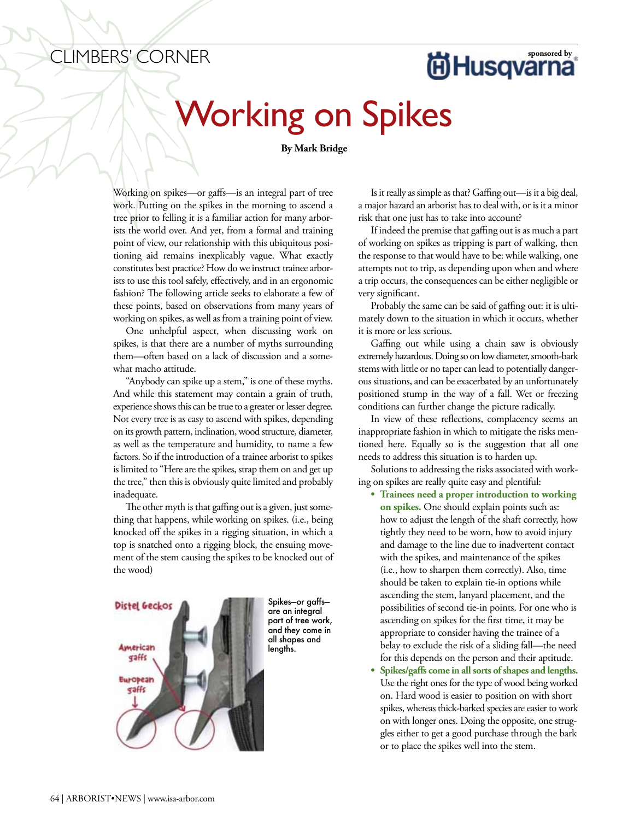## **CLIMBERS' CORNER SAULT CORNER SPONSORED EXECUTER** SPONSORER SPONSORER SPONSORER SPONSORER SPONSORER SPONSORER SPONSORER SPONSORER SPONSORER SPONSORER SPONSORER SPONSORER SPONSORER SPONSORER SPONSORER SPONSORER SPONSORER S

## Working on Spikes

## **By Mark Bridge**

Working on spikes—or gaffs—is an integral part of tree work. Putting on the spikes in the morning to ascend a tree prior to felling it is a familiar action for many arborists the world over. And yet, from a formal and training point of view, our relationship with this ubiquitous positioning aid remains inexplicably vague. What exactly constitutes best practice? How do we instruct trainee arborists to use this tool safely, effectively, and in an ergonomic fashion? The following article seeks to elaborate a few of these points, based on observations from many years of working on spikes, as well as from a training point of view.

One unhelpful aspect, when discussing work on spikes, is that there are a number of myths surrounding them—often based on a lack of discussion and a somewhat macho attitude.

"Anybody can spike up a stem," is one of these myths. And while this statement may contain a grain of truth, experience shows this can be true to a greater or lesser degree. Not every tree is as easy to ascend with spikes, depending on its growth pattern, inclination,wood structure, diameter, as well as the temperature and humidity, to name a few factors. So if the introduction of a trainee arborist to spikes is limited to "Here are the spikes, strap them on and get up the tree," then this is obviously quite limited and probably inadequate.

The other myth is that gaffing out is a given, just something that happens, while working on spikes. (i.e., being knocked off the spikes in a rigging situation, in which a top is snatched onto a rigging block, the ensuing movement of the stem causing the spikes to be knocked out of the wood)



Spikes—or gaffs are an integral part of tree work, and they come in all shapes and lengths.

Is it really as simple as that? Gaffing out—is it a big deal, a major hazard an arborist has to deal with, or is it a minor risk that one just has to take into account?

If indeed the premise that gaffing out is as much a part of working on spikes as tripping is part of walking, then the response to that would have to be: while walking, one attempts not to trip, as depending upon when and where a trip occurs, the consequences can be either negligible or very significant.

Probably the same can be said of gaffing out: it is ultimately down to the situation in which it occurs, whether it is more or less serious.

Gaffing out while using a chain saw is obviously extremely hazardous. Doing so on low diameter, smooth-bark stems with little or no taper can lead to potentially dangerous situations, and can be exacerbated by an unfortunately positioned stump in the way of a fall. Wet or freezing conditions can further change the picture radically.

In view of these reflections, complacency seems an inappropriate fashion in which to mitigate the risks mentioned here. Equally so is the suggestion that all one needs to address this situation is to harden up.

Solutions to addressing the risks associated with working on spikes are really quite easy and plentiful:

**• Trainees need a proper introduction to working on spikes.** One should explain points such as: how to adjust the length of the shaft correctly, how tightly they need to be worn, how to avoid injury and damage to the line due to inadvertent contact with the spikes, and maintenance of the spikes (i.e., how to sharpen them correctly). Also, time should be taken to explain tie-in options while ascending the stem, lanyard placement, and the possibilities of second tie-in points. For one who is ascending on spikes for the first time, it may be appropriate to consider having the trainee of a belay to exclude the risk of a sliding fall—the need for this depends on the person and their aptitude.

Spikes/gaffs come in all sorts of shapes and lengths. Use the right ones for the type of wood being worked on. Hard wood is easier to position on with short spikes, whereas thick-barked species are easier to work on with longer ones. Doing the opposite, one struggles either to get a good purchase through the bark or to place the spikes well into the stem.